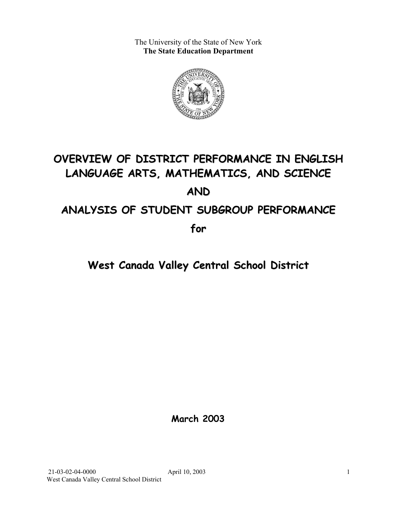The University of the State of New York **The State Education Department** 



# **OVERVIEW OF DISTRICT PERFORMANCE IN ENGLISH LANGUAGE ARTS, MATHEMATICS, AND SCIENCE AND ANALYSIS OF STUDENT SUBGROUP PERFORMANCE**

**for**

# **West Canada Valley Central School District**

**March 2003**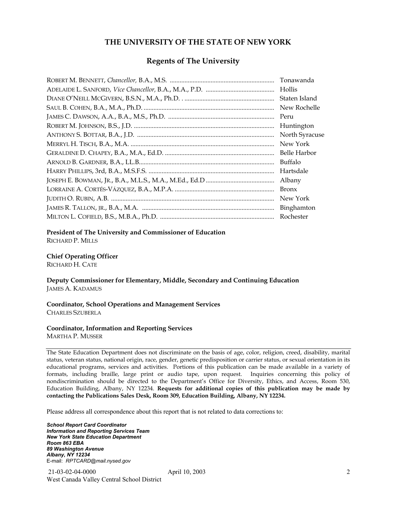#### **THE UNIVERSITY OF THE STATE OF NEW YORK**

#### **Regents of The University**

| Tonawanda      |
|----------------|
| Hollis         |
| Staten Island  |
| New Rochelle   |
| Peru           |
| Huntington     |
| North Syracuse |
| New York       |
| Belle Harbor   |
| Buffalo        |
| Hartsdale      |
| Albany         |
| Bronx          |
| New York       |
| Binghamton     |
| Rochester      |

#### **President of The University and Commissioner of Education**

RICHARD P. MILLS

#### **Chief Operating Officer**

RICHARD H. CATE

**Deputy Commissioner for Elementary, Middle, Secondary and Continuing Education**  JAMES A. KADAMUS

#### **Coordinator, School Operations and Management Services**  CHARLES SZUBERLA

#### **Coordinator, Information and Reporting Services**

MARTHA P. MUSSER

The State Education Department does not discriminate on the basis of age, color, religion, creed, disability, marital status, veteran status, national origin, race, gender, genetic predisposition or carrier status, or sexual orientation in its educational programs, services and activities. Portions of this publication can be made available in a variety of formats, including braille, large print or audio tape, upon request. Inquiries concerning this policy of nondiscrimination should be directed to the Department's Office for Diversity, Ethics, and Access, Room 530, Education Building, Albany, NY 12234. **Requests for additional copies of this publication may be made by contacting the Publications Sales Desk, Room 309, Education Building, Albany, NY 12234.** 

Please address all correspondence about this report that is not related to data corrections to:

*School Report Card Coordinator Information and Reporting Services Team New York State Education Department Room 863 EBA 89 Washington Avenue Albany, NY 12234*  E-mail: *RPTCARD@mail.nysed.gov*

 21-03-02-04-0000 April 10, 2003 West Canada Valley Central School District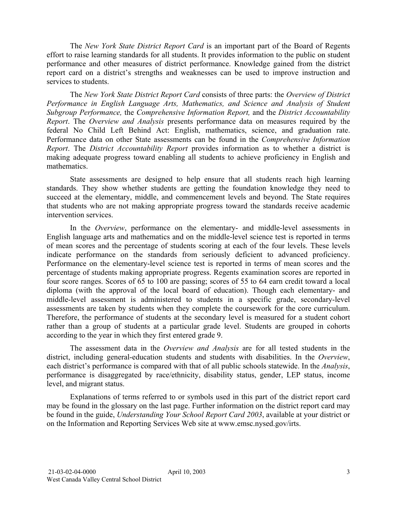The *New York State District Report Card* is an important part of the Board of Regents effort to raise learning standards for all students. It provides information to the public on student performance and other measures of district performance. Knowledge gained from the district report card on a district's strengths and weaknesses can be used to improve instruction and services to students.

The *New York State District Report Card* consists of three parts: the *Overview of District Performance in English Language Arts, Mathematics, and Science and Analysis of Student Subgroup Performance,* the *Comprehensive Information Report,* and the *District Accountability Report*. The *Overview and Analysis* presents performance data on measures required by the federal No Child Left Behind Act: English, mathematics, science, and graduation rate. Performance data on other State assessments can be found in the *Comprehensive Information Report*. The *District Accountability Report* provides information as to whether a district is making adequate progress toward enabling all students to achieve proficiency in English and mathematics.

State assessments are designed to help ensure that all students reach high learning standards. They show whether students are getting the foundation knowledge they need to succeed at the elementary, middle, and commencement levels and beyond. The State requires that students who are not making appropriate progress toward the standards receive academic intervention services.

In the *Overview*, performance on the elementary- and middle-level assessments in English language arts and mathematics and on the middle-level science test is reported in terms of mean scores and the percentage of students scoring at each of the four levels. These levels indicate performance on the standards from seriously deficient to advanced proficiency. Performance on the elementary-level science test is reported in terms of mean scores and the percentage of students making appropriate progress. Regents examination scores are reported in four score ranges. Scores of 65 to 100 are passing; scores of 55 to 64 earn credit toward a local diploma (with the approval of the local board of education). Though each elementary- and middle-level assessment is administered to students in a specific grade, secondary-level assessments are taken by students when they complete the coursework for the core curriculum. Therefore, the performance of students at the secondary level is measured for a student cohort rather than a group of students at a particular grade level. Students are grouped in cohorts according to the year in which they first entered grade 9.

The assessment data in the *Overview and Analysis* are for all tested students in the district, including general-education students and students with disabilities. In the *Overview*, each district's performance is compared with that of all public schools statewide. In the *Analysis*, performance is disaggregated by race/ethnicity, disability status, gender, LEP status, income level, and migrant status.

Explanations of terms referred to or symbols used in this part of the district report card may be found in the glossary on the last page. Further information on the district report card may be found in the guide, *Understanding Your School Report Card 2003*, available at your district or on the Information and Reporting Services Web site at www.emsc.nysed.gov/irts.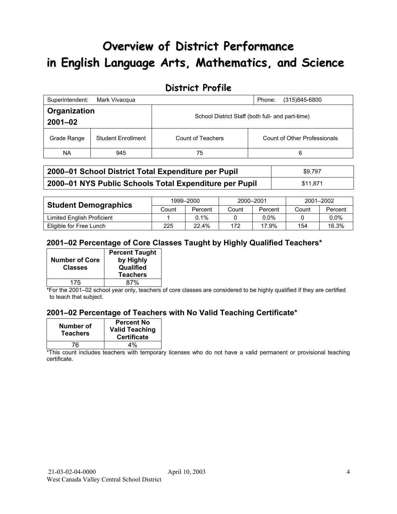# **Overview of District Performance in English Language Arts, Mathematics, and Science**

## **District Profile**

| Superintendent:             | Mark Vivacqua             |                                                  | (315)845-6800<br>Phone:      |  |
|-----------------------------|---------------------------|--------------------------------------------------|------------------------------|--|
| Organization<br>$2001 - 02$ |                           | School District Staff (both full- and part-time) |                              |  |
| Grade Range                 | <b>Student Enrollment</b> | Count of Teachers                                | Count of Other Professionals |  |
| NA.                         | 945                       | 75                                               | 6                            |  |

| 2000-01 School District Total Expenditure per Pupil    | \$9.797  |
|--------------------------------------------------------|----------|
| 2000-01 NYS Public Schools Total Expenditure per Pupil | \$11.871 |

|                             | 1999-2000 |         | 2000-2001 |         | 2001-2002 |         |
|-----------------------------|-----------|---------|-----------|---------|-----------|---------|
| <b>Student Demographics</b> | Count     | Percent | Count     | Percent | Count     | Percent |
| Limited English Proficient  |           | $0.1\%$ |           | $0.0\%$ |           | $0.0\%$ |
| Eligible for Free Lunch     | 225       | 22.4%   | 172       | 17.9%   | 154       | 16.3%   |

### **2001–02 Percentage of Core Classes Taught by Highly Qualified Teachers\***

| <b>Number of Core</b> | <b>Percent Taught</b><br>by Highly |
|-----------------------|------------------------------------|
| <b>Classes</b>        | Qualified<br><b>Teachers</b>       |
| 175                   | 87%                                |

\*For the 2001–02 school year only, teachers of core classes are considered to be highly qualified if they are certified to teach that subject.

#### **2001–02 Percentage of Teachers with No Valid Teaching Certificate\***

| Number of<br><b>Teachers</b> | <b>Percent No</b><br><b>Valid Teaching</b><br><b>Certificate</b> |
|------------------------------|------------------------------------------------------------------|
| 76                           | 4%                                                               |

\*This count includes teachers with temporary licenses who do not have a valid permanent or provisional teaching certificate.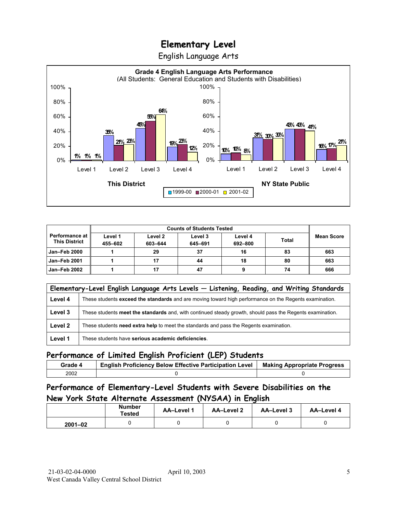English Language Arts



|                                               |                    | <b>Counts of Students Tested</b> |                    |                    |              |                   |
|-----------------------------------------------|--------------------|----------------------------------|--------------------|--------------------|--------------|-------------------|
| <b>Performance at</b><br><b>This District</b> | Level 1<br>455-602 | Level 2<br>603-644               | Level 3<br>645-691 | Level 4<br>692-800 | <b>Total</b> | <b>Mean Score</b> |
| <b>Jan-Feb 2000</b>                           |                    | 29                               | 37                 | 16                 | 83           | 663               |
| <b>Jan-Feb 2001</b>                           |                    |                                  | 44                 | 18                 | 80           | 663               |
| Jan-Feb 2002                                  |                    |                                  | 47                 |                    | 74           | 666               |

|         | Elementary-Level English Language Arts Levels - Listening, Reading, and Writing Standards                 |
|---------|-----------------------------------------------------------------------------------------------------------|
| Level 4 | These students exceed the standards and are moving toward high performance on the Regents examination.    |
| Level 3 | These students meet the standards and, with continued steady growth, should pass the Regents examination. |
| Level 2 | These students need extra help to meet the standards and pass the Regents examination.                    |
| Level 1 | These students have serious academic deficiencies.                                                        |

#### **Performance of Limited English Proficient (LEP) Students**

| Grade 4 | <b>English Proficiency Below Effective Participation Level</b> | <b>Making Appropriate Progress</b> |
|---------|----------------------------------------------------------------|------------------------------------|
| 2002    |                                                                |                                    |

### **Performance of Elementary-Level Students with Severe Disabilities on the New York State Alternate Assessment (NYSAA) in English**

|             | <b>Number</b><br>Tested | AA-Level 1 | <b>AA-Level 2</b> | AA-Level 3 | AA-Level 4 |
|-------------|-------------------------|------------|-------------------|------------|------------|
| $2001 - 02$ |                         |            |                   |            |            |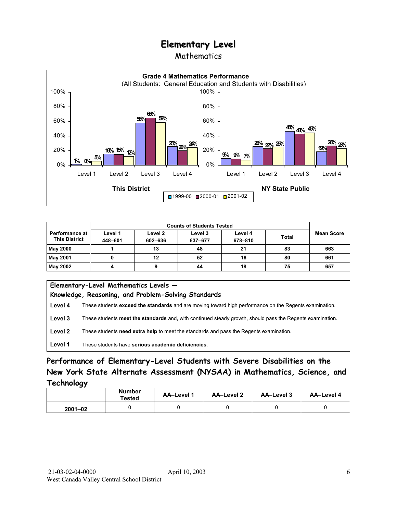### Mathematics



|                                               | <b>Counts of Students Tested</b> |                    |                    |                    |              |            |
|-----------------------------------------------|----------------------------------|--------------------|--------------------|--------------------|--------------|------------|
| <b>Performance at</b><br><b>This District</b> | Level 1<br>448-601               | Level 2<br>602-636 | Level 3<br>637-677 | Level 4<br>678-810 | <b>Total</b> | Mean Score |
| <b>May 2000</b>                               |                                  | 13                 | 48                 | 21                 | 83           | 663        |
| May 2001                                      |                                  | 12                 | 52                 | 16                 | 80           | 661        |
| May 2002                                      |                                  |                    | 44                 | 18                 | 75           | 657        |

| Elementary-Level Mathematics Levels -<br>Knowledge, Reasoning, and Problem-Solving Standards |                                                                                                           |  |
|----------------------------------------------------------------------------------------------|-----------------------------------------------------------------------------------------------------------|--|
| Level 4                                                                                      | These students exceed the standards and are moving toward high performance on the Regents examination.    |  |
| Level 3                                                                                      | These students meet the standards and, with continued steady growth, should pass the Regents examination. |  |
| Level 2                                                                                      | These students need extra help to meet the standards and pass the Regents examination.                    |  |
| Level 1                                                                                      | These students have serious academic deficiencies.                                                        |  |

**Performance of Elementary-Level Students with Severe Disabilities on the New York State Alternate Assessment (NYSAA) in Mathematics, Science, and Technology** 

|             | <b>Number</b><br>Tested | AA-Level 1 | <b>AA-Level 2</b> | <b>AA-Level 3</b> | AA-Level 4 |
|-------------|-------------------------|------------|-------------------|-------------------|------------|
| $2001 - 02$ |                         |            |                   |                   |            |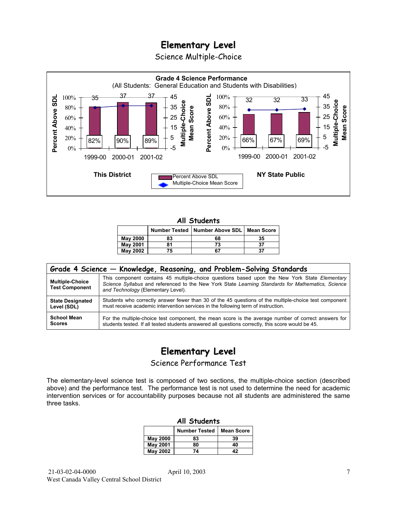Science Multiple-Choice



#### **All Students**

|                 |    | Number Tested   Number Above SDL   Mean Score |    |
|-----------------|----|-----------------------------------------------|----|
| <b>May 2000</b> | 83 | 68                                            | 35 |
| May 2001        | 81 | 73                                            | 37 |
| <b>May 2002</b> | 75 | 67                                            | 37 |

| Grade 4 Science – Knowledge, Reasoning, and Problem-Solving Standards |                                                                                                                                                                                                                                          |  |  |  |  |  |
|-----------------------------------------------------------------------|------------------------------------------------------------------------------------------------------------------------------------------------------------------------------------------------------------------------------------------|--|--|--|--|--|
| <b>Multiple-Choice</b><br><b>Test Component</b>                       | This component contains 45 multiple-choice questions based upon the New York State Elementary<br>Science Syllabus and referenced to the New York State Learning Standards for Mathematics, Science<br>and Technology (Elementary Level). |  |  |  |  |  |
| <b>State Designated</b>                                               | Students who correctly answer fewer than 30 of the 45 questions of the multiple-choice test component                                                                                                                                    |  |  |  |  |  |
| Level (SDL)                                                           | must receive academic intervention services in the following term of instruction.                                                                                                                                                        |  |  |  |  |  |
| <b>School Mean</b>                                                    | For the multiple-choice test component, the mean score is the average number of correct answers for                                                                                                                                      |  |  |  |  |  |
| <b>Scores</b>                                                         | students tested. If all tested students answered all questions correctly, this score would be 45.                                                                                                                                        |  |  |  |  |  |

# **Elementary Level**

Science Performance Test

The elementary-level science test is composed of two sections, the multiple-choice section (described above) and the performance test. The performance test is not used to determine the need for academic intervention services or for accountability purposes because not all students are administered the same three tasks.

| All Students                              |    |    |  |  |  |
|-------------------------------------------|----|----|--|--|--|
| <b>Number Tested</b><br><b>Mean Score</b> |    |    |  |  |  |
| May 2000                                  | 83 | 39 |  |  |  |
| <b>May 2001</b>                           | 80 | 40 |  |  |  |
| May 2002                                  | 74 | 42 |  |  |  |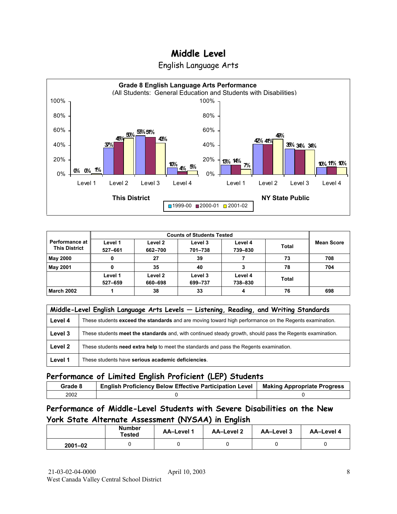

|  | English Language Arts |  |
|--|-----------------------|--|
|  |                       |  |

| <b>Performance at</b><br><b>This District</b> | Level 1<br>527-661 | Level 2<br>662-700 | Level 3<br>701-738 | Level 4<br>739-830 | Total | <b>Mean Score</b> |
|-----------------------------------------------|--------------------|--------------------|--------------------|--------------------|-------|-------------------|
| May 2000                                      | 0                  | 27                 | 39                 |                    | 73    | 708               |
| <b>May 2001</b>                               |                    | 35                 | 40                 |                    | 78    | 704               |
|                                               | Level 1<br>527-659 | Level 2<br>660-698 | Level 3<br>699-737 | Level 4<br>738-830 | Total |                   |
| <b>March 2002</b>                             |                    | 38                 | 33                 | Δ                  | 76    | 698               |

|         | Middle-Level English Language Arts Levels - Listening, Reading, and Writing Standards                     |  |  |  |  |  |
|---------|-----------------------------------------------------------------------------------------------------------|--|--|--|--|--|
| Level 4 | These students exceed the standards and are moving toward high performance on the Regents examination.    |  |  |  |  |  |
| Level 3 | These students meet the standards and, with continued steady growth, should pass the Regents examination. |  |  |  |  |  |
| Level 2 | These students need extra help to meet the standards and pass the Regents examination.                    |  |  |  |  |  |
| Level 1 | These students have serious academic deficiencies.                                                        |  |  |  |  |  |

### **Performance of Limited English Proficient (LEP) Students**

| Grade 8 | <b>English Proficiency Below Effective Participation Level</b> | <b>Making Appropriate Progress</b> |
|---------|----------------------------------------------------------------|------------------------------------|
| 2002    |                                                                |                                    |

### **Performance of Middle-Level Students with Severe Disabilities on the New York State Alternate Assessment (NYSAA) in English**

|             | <b>Number</b><br>Tested | <b>AA-Level 1</b> | AA-Level 2 | AA-Level 3 | <b>AA-Level 4</b> |
|-------------|-------------------------|-------------------|------------|------------|-------------------|
| $2001 - 02$ |                         |                   |            |            |                   |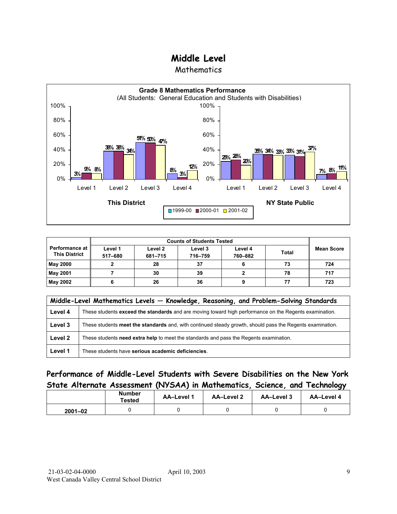**Mathematics** 



|                                               |                    | <b>Counts of Students Tested</b> |                    |                    |              |                   |
|-----------------------------------------------|--------------------|----------------------------------|--------------------|--------------------|--------------|-------------------|
| <b>Performance at</b><br><b>This District</b> | Level 1<br>517-680 | Level 2<br>681-715               | Level 3<br>716-759 | Level 4<br>760-882 | <b>Total</b> | <b>Mean Score</b> |
| <b>May 2000</b>                               |                    | 28                               | 37                 |                    | 73           | 724               |
| <b>May 2001</b>                               |                    | 30                               | 39                 |                    | 78           | 717               |
| May 2002                                      |                    | 26                               | 36                 |                    |              | 723               |

|         | Middle-Level Mathematics Levels - Knowledge, Reasoning, and Problem-Solving Standards                     |  |  |  |  |  |
|---------|-----------------------------------------------------------------------------------------------------------|--|--|--|--|--|
| Level 4 | These students exceed the standards and are moving toward high performance on the Regents examination.    |  |  |  |  |  |
| Level 3 | These students meet the standards and, with continued steady growth, should pass the Regents examination. |  |  |  |  |  |
| Level 2 | These students need extra help to meet the standards and pass the Regents examination.                    |  |  |  |  |  |
| Level 1 | These students have serious academic deficiencies.                                                        |  |  |  |  |  |

### **Performance of Middle-Level Students with Severe Disabilities on the New York State Alternate Assessment (NYSAA) in Mathematics, Science, and Technology**

|             | <b>Number</b><br>Tested | <b>AA-Level 1</b> | AA-Level 2 | AA-Level 3 | AA-Level 4 |
|-------------|-------------------------|-------------------|------------|------------|------------|
| $2001 - 02$ |                         |                   |            |            |            |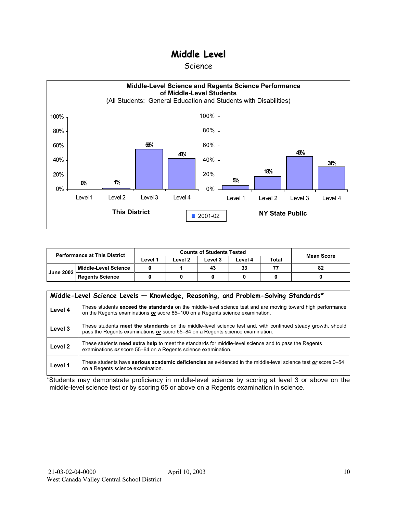#### Science



| <b>Performance at This District</b> |                        |         | <b>Counts of Students Tested</b> | <b>Mean Score</b> |         |              |    |
|-------------------------------------|------------------------|---------|----------------------------------|-------------------|---------|--------------|----|
|                                     |                        | ∟evel 1 | ∟evel 2                          | Level 3           | Level 4 | <b>Total</b> |    |
| <b>June 2002</b>                    | Middle-Level Science   |         |                                  | 43                | 33      |              | 82 |
|                                     | <b>Regents Science</b> |         |                                  |                   |         |              |    |

|                    | Middle-Level Science Levels - Knowledge, Reasoning, and Problem-Solving Standards*                                                                                                             |  |  |  |  |  |  |  |  |
|--------------------|------------------------------------------------------------------------------------------------------------------------------------------------------------------------------------------------|--|--|--|--|--|--|--|--|
| Level 4            | These students exceed the standards on the middle-level science test and are moving toward high performance<br>on the Regents examinations or score 85-100 on a Regents science examination.   |  |  |  |  |  |  |  |  |
| Level 3            | These students meet the standards on the middle-level science test and, with continued steady growth, should<br>pass the Regents examinations or score 65–84 on a Regents science examination. |  |  |  |  |  |  |  |  |
| Level <sub>2</sub> | These students need extra help to meet the standards for middle-level science and to pass the Regents<br>examinations or score 55–64 on a Regents science examination.                         |  |  |  |  |  |  |  |  |
| Level 1            | These students have serious academic deficiencies as evidenced in the middle-level science test or score 0–54<br>on a Regents science examination.                                             |  |  |  |  |  |  |  |  |

\*Students may demonstrate proficiency in middle-level science by scoring at level 3 or above on the middle-level science test or by scoring 65 or above on a Regents examination in science.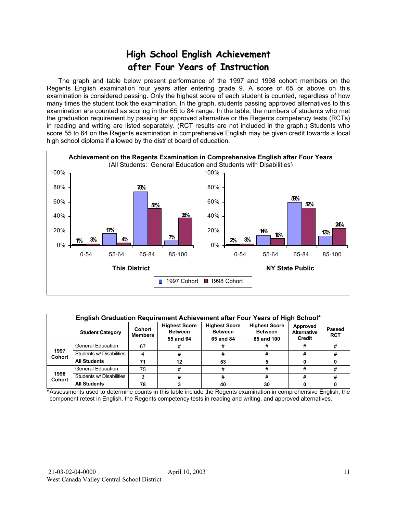# **High School English Achievement after Four Years of Instruction**

 The graph and table below present performance of the 1997 and 1998 cohort members on the Regents English examination four years after entering grade 9. A score of 65 or above on this examination is considered passing. Only the highest score of each student is counted, regardless of how many times the student took the examination. In the graph, students passing approved alternatives to this examination are counted as scoring in the 65 to 84 range. In the table, the numbers of students who met the graduation requirement by passing an approved alternative or the Regents competency tests (RCTs) in reading and writing are listed separately. (RCT results are not included in the graph.) Students who score 55 to 64 on the Regents examination in comprehensive English may be given credit towards a local high school diploma if allowed by the district board of education.



|                       | English Graduation Requirement Achievement after Four Years of High School* |                          |                                                     |                                                     |                                                      |                                                 |  |  |  |  |  |  |
|-----------------------|-----------------------------------------------------------------------------|--------------------------|-----------------------------------------------------|-----------------------------------------------------|------------------------------------------------------|-------------------------------------------------|--|--|--|--|--|--|
|                       | <b>Student Category</b>                                                     | Cohort<br><b>Members</b> | <b>Highest Score</b><br><b>Between</b><br>55 and 64 | <b>Highest Score</b><br><b>Between</b><br>65 and 84 | <b>Highest Score</b><br><b>Between</b><br>85 and 100 | Approved<br><b>Alternative</b><br><b>Credit</b> |  |  |  |  |  |  |
|                       | <b>General Education</b>                                                    | 67                       | #                                                   |                                                     | #                                                    | #                                               |  |  |  |  |  |  |
| 1997<br><b>Cohort</b> | Students w/ Disabilities                                                    |                          | #                                                   |                                                     | #                                                    | #                                               |  |  |  |  |  |  |
|                       | <b>All Students</b>                                                         | 71                       | 12                                                  | 53                                                  |                                                      |                                                 |  |  |  |  |  |  |
|                       | <b>General Education</b>                                                    | 75                       | #                                                   | #                                                   | #                                                    | #                                               |  |  |  |  |  |  |
| 1998<br><b>Cohort</b> | Students w/ Disabilities                                                    | 3                        | #                                                   | #                                                   | #                                                    | #                                               |  |  |  |  |  |  |
|                       | <b>All Students</b>                                                         | 78                       |                                                     | 40                                                  | 30                                                   |                                                 |  |  |  |  |  |  |

\*Assessments used to determine counts in this table include the Regents examination in comprehensive English, the component retest in English, the Regents competency tests in reading and writing, and approved alternatives.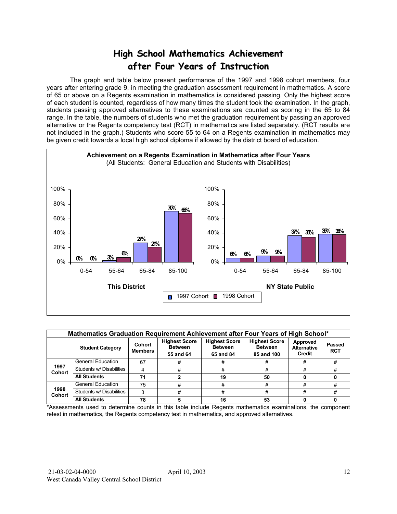# **High School Mathematics Achievement after Four Years of Instruction**

 The graph and table below present performance of the 1997 and 1998 cohort members, four years after entering grade 9, in meeting the graduation assessment requirement in mathematics. A score of 65 or above on a Regents examination in mathematics is considered passing. Only the highest score of each student is counted, regardless of how many times the student took the examination. In the graph, students passing approved alternatives to these examinations are counted as scoring in the 65 to 84 range. In the table, the numbers of students who met the graduation requirement by passing an approved alternative or the Regents competency test (RCT) in mathematics are listed separately. (RCT results are not included in the graph.) Students who score 55 to 64 on a Regents examination in mathematics may be given credit towards a local high school diploma if allowed by the district board of education.



|                       | Mathematics Graduation Requirement Achievement after Four Years of High School* |                          |                                                     |                                                     |                                                      |                                          |                             |  |  |  |  |  |
|-----------------------|---------------------------------------------------------------------------------|--------------------------|-----------------------------------------------------|-----------------------------------------------------|------------------------------------------------------|------------------------------------------|-----------------------------|--|--|--|--|--|
|                       | <b>Student Category</b>                                                         | Cohort<br><b>Members</b> | <b>Highest Score</b><br><b>Between</b><br>55 and 64 | <b>Highest Score</b><br><b>Between</b><br>65 and 84 | <b>Highest Score</b><br><b>Between</b><br>85 and 100 | Approved<br><b>Alternative</b><br>Credit | <b>Passed</b><br><b>RCT</b> |  |  |  |  |  |
|                       | <b>General Education</b>                                                        | 67                       | #                                                   |                                                     | #                                                    | #                                        | #                           |  |  |  |  |  |
| 1997<br><b>Cohort</b> | Students w/ Disabilities                                                        | Δ                        | #                                                   | #                                                   | #                                                    | #                                        | #                           |  |  |  |  |  |
|                       | <b>All Students</b>                                                             | 71                       |                                                     | 19                                                  | 50                                                   |                                          |                             |  |  |  |  |  |
|                       | <b>General Education</b>                                                        | 75                       | #                                                   | #                                                   | #                                                    | #                                        | #                           |  |  |  |  |  |
| 1998<br><b>Cohort</b> | Students w/ Disabilities                                                        | 3                        | #                                                   | #                                                   | #                                                    | #                                        | #                           |  |  |  |  |  |
|                       | <b>All Students</b>                                                             | 78                       |                                                     | 16                                                  | 53                                                   |                                          |                             |  |  |  |  |  |

\*Assessments used to determine counts in this table include Regents mathematics examinations, the component retest in mathematics, the Regents competency test in mathematics, and approved alternatives.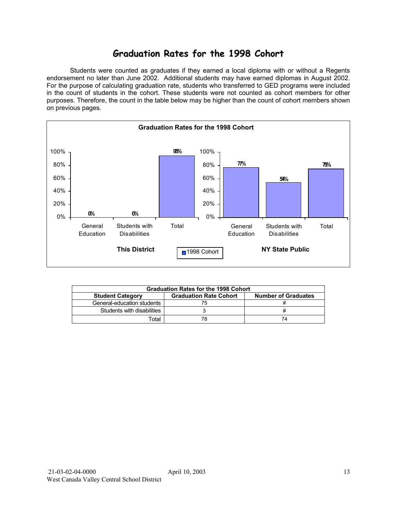## **Graduation Rates for the 1998 Cohort**

 Students were counted as graduates if they earned a local diploma with or without a Regents endorsement no later than June 2002. Additional students may have earned diplomas in August 2002. For the purpose of calculating graduation rate, students who transferred to GED programs were included in the count of students in the cohort. These students were not counted as cohort members for other purposes. Therefore, the count in the table below may be higher than the count of cohort members shown on previous pages.



| <b>Graduation Rates for the 1998 Cohort</b> |                               |                            |  |  |  |  |  |  |  |  |
|---------------------------------------------|-------------------------------|----------------------------|--|--|--|--|--|--|--|--|
| <b>Student Category</b>                     | <b>Graduation Rate Cohort</b> | <b>Number of Graduates</b> |  |  |  |  |  |  |  |  |
| General-education students                  |                               |                            |  |  |  |  |  |  |  |  |
| Students with disabilities                  |                               |                            |  |  |  |  |  |  |  |  |
| Гоtal                                       |                               | 74                         |  |  |  |  |  |  |  |  |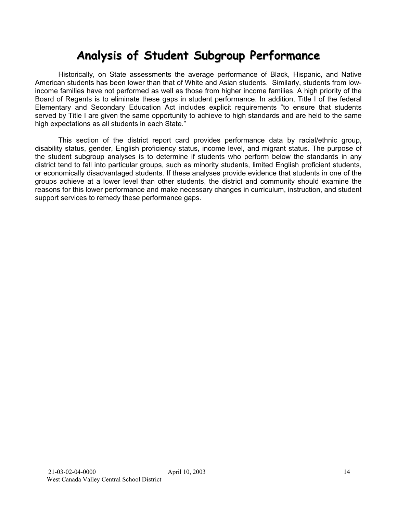# **Analysis of Student Subgroup Performance**

Historically, on State assessments the average performance of Black, Hispanic, and Native American students has been lower than that of White and Asian students. Similarly, students from lowincome families have not performed as well as those from higher income families. A high priority of the Board of Regents is to eliminate these gaps in student performance. In addition, Title I of the federal Elementary and Secondary Education Act includes explicit requirements "to ensure that students served by Title I are given the same opportunity to achieve to high standards and are held to the same high expectations as all students in each State."

This section of the district report card provides performance data by racial/ethnic group, disability status, gender, English proficiency status, income level, and migrant status. The purpose of the student subgroup analyses is to determine if students who perform below the standards in any district tend to fall into particular groups, such as minority students, limited English proficient students, or economically disadvantaged students. If these analyses provide evidence that students in one of the groups achieve at a lower level than other students, the district and community should examine the reasons for this lower performance and make necessary changes in curriculum, instruction, and student support services to remedy these performance gaps.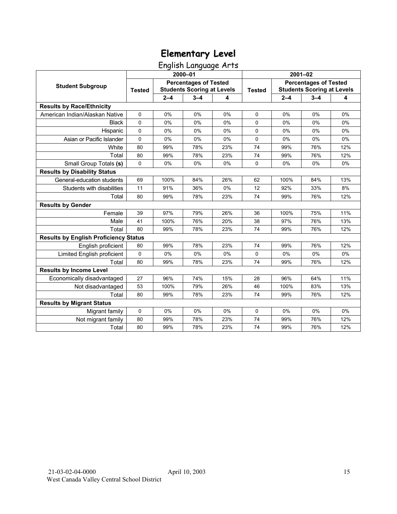English Language Arts

|                                              |               |         | 2000-01                                                           |       | $2001 - 02$   |                                                                   |         |     |  |
|----------------------------------------------|---------------|---------|-------------------------------------------------------------------|-------|---------------|-------------------------------------------------------------------|---------|-----|--|
| <b>Student Subgroup</b>                      | <b>Tested</b> |         | <b>Percentages of Tested</b><br><b>Students Scoring at Levels</b> |       | <b>Tested</b> | <b>Percentages of Tested</b><br><b>Students Scoring at Levels</b> |         |     |  |
|                                              |               | $2 - 4$ | $3 - 4$                                                           | 4     |               | $2 - 4$                                                           | $3 - 4$ | 4   |  |
| <b>Results by Race/Ethnicity</b>             |               |         |                                                                   |       |               |                                                                   |         |     |  |
| American Indian/Alaskan Native               | $\mathbf 0$   | 0%      | 0%                                                                | 0%    | $\Omega$      | 0%                                                                | 0%      | 0%  |  |
| <b>Black</b>                                 | $\Omega$      | 0%      | 0%                                                                | 0%    | $\Omega$      | 0%                                                                | 0%      | 0%  |  |
| Hispanic                                     | 0             | 0%      | 0%                                                                | 0%    | $\mathbf 0$   | 0%                                                                | 0%      | 0%  |  |
| Asian or Pacific Islander                    | $\mathbf 0$   | 0%      | 0%                                                                | 0%    | 0             | 0%                                                                | 0%      | 0%  |  |
| White                                        | 80            | 99%     | 78%                                                               | 23%   | 74            | 99%                                                               | 76%     | 12% |  |
| Total                                        | 80            | 99%     | 78%                                                               | 23%   | 74            | 99%                                                               | 76%     | 12% |  |
| Small Group Totals (s)                       | $\Omega$      | 0%      | 0%                                                                | 0%    | $\Omega$      | 0%                                                                | 0%      | 0%  |  |
| <b>Results by Disability Status</b>          |               |         |                                                                   |       |               |                                                                   |         |     |  |
| General-education students                   | 69            | 100%    | 84%                                                               | 26%   | 62            | 100%                                                              | 84%     | 13% |  |
| Students with disabilities                   | 11            | 91%     | 36%                                                               | 0%    | 12            | 92%                                                               | 33%     | 8%  |  |
| Total                                        | 80            | 99%     | 78%                                                               | 23%   | 74            | 99%                                                               | 76%     | 12% |  |
| <b>Results by Gender</b>                     |               |         |                                                                   |       |               |                                                                   |         |     |  |
| Female                                       | 39            | 97%     | 79%                                                               | 26%   | 36            | 100%                                                              | 75%     | 11% |  |
| Male                                         | 41            | 100%    | 76%                                                               | 20%   | 38            | 97%                                                               | 76%     | 13% |  |
| Total                                        | 80            | 99%     | 78%                                                               | 23%   | 74            | 99%                                                               | 76%     | 12% |  |
| <b>Results by English Proficiency Status</b> |               |         |                                                                   |       |               |                                                                   |         |     |  |
| English proficient                           | 80            | 99%     | 78%                                                               | 23%   | 74            | 99%                                                               | 76%     | 12% |  |
| Limited English proficient                   | 0             | 0%      | 0%                                                                | 0%    | 0             | 0%                                                                | 0%      | 0%  |  |
| Total                                        | 80            | 99%     | 78%                                                               | 23%   | 74            | 99%                                                               | 76%     | 12% |  |
| <b>Results by Income Level</b>               |               |         |                                                                   |       |               |                                                                   |         |     |  |
| Economically disadvantaged                   | 27            | 96%     | 74%                                                               | 15%   | 28            | 96%                                                               | 64%     | 11% |  |
| Not disadvantaged                            | 53            | 100%    | 79%                                                               | 26%   | 46            | 100%                                                              | 83%     | 13% |  |
| Total                                        | 80            | 99%     | 78%                                                               | 23%   | 74            | 99%                                                               | 76%     | 12% |  |
| <b>Results by Migrant Status</b>             |               |         |                                                                   |       |               |                                                                   |         |     |  |
| Migrant family                               | 0             | 0%      | 0%                                                                | $0\%$ | 0             | $0\%$                                                             | $0\%$   | 0%  |  |
| Not migrant family                           | 80            | 99%     | 78%                                                               | 23%   | 74            | 99%                                                               | 76%     | 12% |  |
| Total                                        | 80            | 99%     | 78%                                                               | 23%   | 74            | 99%                                                               | 76%     | 12% |  |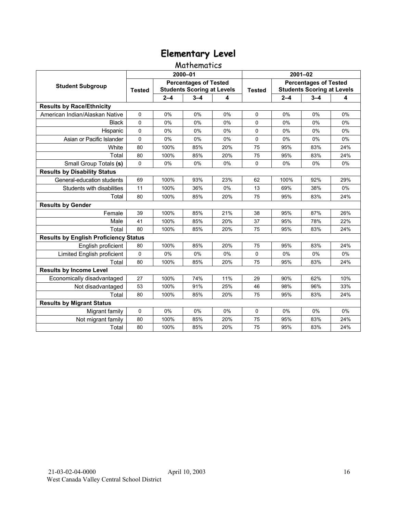### Mathematics

|                                              |               |         | 2000-01                                                           |       | 2001-02       |                                                                   |         |     |  |
|----------------------------------------------|---------------|---------|-------------------------------------------------------------------|-------|---------------|-------------------------------------------------------------------|---------|-----|--|
| <b>Student Subgroup</b>                      | <b>Tested</b> |         | <b>Percentages of Tested</b><br><b>Students Scoring at Levels</b> |       | <b>Tested</b> | <b>Percentages of Tested</b><br><b>Students Scoring at Levels</b> |         |     |  |
|                                              |               | $2 - 4$ | $3 - 4$                                                           | 4     |               | $2 - 4$                                                           | $3 - 4$ | 4   |  |
| <b>Results by Race/Ethnicity</b>             |               |         |                                                                   |       |               |                                                                   |         |     |  |
| American Indian/Alaskan Native               | 0             | 0%      | 0%                                                                | 0%    | $\Omega$      | 0%                                                                | 0%      | 0%  |  |
| <b>Black</b>                                 | $\Omega$      | 0%      | 0%                                                                | $0\%$ | $\Omega$      | 0%                                                                | 0%      | 0%  |  |
| Hispanic                                     | $\Omega$      | 0%      | 0%                                                                | 0%    | $\Omega$      | 0%                                                                | 0%      | 0%  |  |
| Asian or Pacific Islander                    | 0             | 0%      | 0%                                                                | 0%    | 0             | 0%                                                                | 0%      | 0%  |  |
| White                                        | 80            | 100%    | 85%                                                               | 20%   | 75            | 95%                                                               | 83%     | 24% |  |
| Total                                        | 80            | 100%    | 85%                                                               | 20%   | 75            | 95%                                                               | 83%     | 24% |  |
| Small Group Totals (s)                       | $\mathbf 0$   | 0%      | 0%                                                                | 0%    | $\Omega$      | 0%                                                                | 0%      | 0%  |  |
| <b>Results by Disability Status</b>          |               |         |                                                                   |       |               |                                                                   |         |     |  |
| General-education students                   | 69            | 100%    | 93%                                                               | 23%   | 62            | 100%                                                              | 92%     | 29% |  |
| Students with disabilities                   | 11            | 100%    | 36%                                                               | 0%    | 13            | 69%                                                               | 38%     | 0%  |  |
| Total                                        | 80            | 100%    | 85%                                                               | 20%   | 75            | 95%                                                               | 83%     | 24% |  |
| <b>Results by Gender</b>                     |               |         |                                                                   |       |               |                                                                   |         |     |  |
| Female                                       | 39            | 100%    | 85%                                                               | 21%   | 38            | 95%                                                               | 87%     | 26% |  |
| Male                                         | 41            | 100%    | 85%                                                               | 20%   | 37            | 95%                                                               | 78%     | 22% |  |
| Total                                        | 80            | 100%    | 85%                                                               | 20%   | 75            | 95%                                                               | 83%     | 24% |  |
| <b>Results by English Proficiency Status</b> |               |         |                                                                   |       |               |                                                                   |         |     |  |
| English proficient                           | 80            | 100%    | 85%                                                               | 20%   | 75            | 95%                                                               | 83%     | 24% |  |
| Limited English proficient                   | 0             | 0%      | 0%                                                                | 0%    | $\Omega$      | 0%                                                                | 0%      | 0%  |  |
| Total                                        | 80            | 100%    | 85%                                                               | 20%   | 75            | 95%                                                               | 83%     | 24% |  |
| <b>Results by Income Level</b>               |               |         |                                                                   |       |               |                                                                   |         |     |  |
| Economically disadvantaged                   | 27            | 100%    | 74%                                                               | 11%   | 29            | 90%                                                               | 62%     | 10% |  |
| Not disadvantaged                            | 53            | 100%    | 91%                                                               | 25%   | 46            | 98%                                                               | 96%     | 33% |  |
| Total                                        | 80            | 100%    | 85%                                                               | 20%   | 75            | 95%                                                               | 83%     | 24% |  |
| <b>Results by Migrant Status</b>             |               |         |                                                                   |       |               |                                                                   |         |     |  |
| Migrant family                               | 0             | 0%      | 0%                                                                | 0%    | 0             | 0%                                                                | 0%      | 0%  |  |
| Not migrant family                           | 80            | 100%    | 85%                                                               | 20%   | 75            | 95%                                                               | 83%     | 24% |  |
| Total                                        | 80            | 100%    | 85%                                                               | 20%   | 75            | 95%                                                               | 83%     | 24% |  |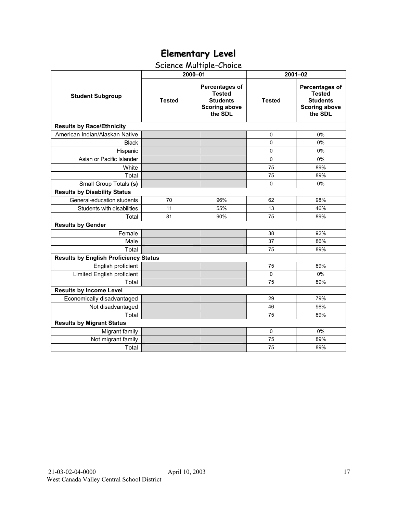# Science Multiple-Choice

|                                              | 2000-01       |                                                                                       | $2001 - 02$   |                                                                                              |  |  |
|----------------------------------------------|---------------|---------------------------------------------------------------------------------------|---------------|----------------------------------------------------------------------------------------------|--|--|
| <b>Student Subgroup</b>                      | <b>Tested</b> | Percentages of<br><b>Tested</b><br><b>Students</b><br><b>Scoring above</b><br>the SDL | <b>Tested</b> | <b>Percentages of</b><br><b>Tested</b><br><b>Students</b><br><b>Scoring above</b><br>the SDL |  |  |
| <b>Results by Race/Ethnicity</b>             |               |                                                                                       |               |                                                                                              |  |  |
| American Indian/Alaskan Native               |               |                                                                                       | 0             | 0%                                                                                           |  |  |
| <b>Black</b>                                 |               |                                                                                       | $\Omega$      | 0%                                                                                           |  |  |
| Hispanic                                     |               |                                                                                       | 0             | 0%                                                                                           |  |  |
| Asian or Pacific Islander                    |               |                                                                                       | $\Omega$      | 0%                                                                                           |  |  |
| White                                        |               |                                                                                       | 75            | 89%                                                                                          |  |  |
| Total                                        |               |                                                                                       | 75            | 89%                                                                                          |  |  |
| Small Group Totals (s)                       |               |                                                                                       | $\mathbf 0$   | 0%                                                                                           |  |  |
| <b>Results by Disability Status</b>          |               |                                                                                       |               |                                                                                              |  |  |
| General-education students                   | 70            | 96%                                                                                   | 62            | 98%                                                                                          |  |  |
| Students with disabilities                   | 11            | 55%                                                                                   | 13            | 46%                                                                                          |  |  |
| Total                                        | 81            | 90%                                                                                   | 75            | 89%                                                                                          |  |  |
| <b>Results by Gender</b>                     |               |                                                                                       |               |                                                                                              |  |  |
| Female                                       |               |                                                                                       | 38            | 92%                                                                                          |  |  |
| Male                                         |               |                                                                                       | 37            | 86%                                                                                          |  |  |
| Total                                        |               |                                                                                       | 75            | 89%                                                                                          |  |  |
| <b>Results by English Proficiency Status</b> |               |                                                                                       |               |                                                                                              |  |  |
| English proficient                           |               |                                                                                       | 75            | 89%                                                                                          |  |  |
| Limited English proficient                   |               |                                                                                       | 0             | 0%                                                                                           |  |  |
| Total                                        |               |                                                                                       | 75            | 89%                                                                                          |  |  |
| <b>Results by Income Level</b>               |               |                                                                                       |               |                                                                                              |  |  |
| Economically disadvantaged                   |               |                                                                                       | 29            | 79%                                                                                          |  |  |
| Not disadvantaged                            |               |                                                                                       | 46            | 96%                                                                                          |  |  |
| Total                                        |               |                                                                                       | 75            | 89%                                                                                          |  |  |
| <b>Results by Migrant Status</b>             |               |                                                                                       |               |                                                                                              |  |  |
| Migrant family                               |               |                                                                                       | $\mathbf 0$   | 0%                                                                                           |  |  |
| Not migrant family                           |               |                                                                                       | 75            | 89%                                                                                          |  |  |
| Total                                        |               |                                                                                       | 75            | 89%                                                                                          |  |  |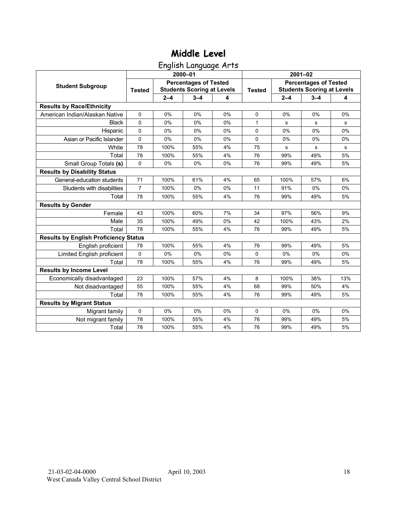English Language Arts

|                                              |                |         | 2000-01                                                           |    | $2001 - 02$   |                                                                   |         |     |  |
|----------------------------------------------|----------------|---------|-------------------------------------------------------------------|----|---------------|-------------------------------------------------------------------|---------|-----|--|
| <b>Student Subgroup</b>                      | <b>Tested</b>  |         | <b>Percentages of Tested</b><br><b>Students Scoring at Levels</b> |    | <b>Tested</b> | <b>Percentages of Tested</b><br><b>Students Scoring at Levels</b> |         |     |  |
|                                              |                | $2 - 4$ | $3 - 4$                                                           | 4  |               | $2 - 4$                                                           | $3 - 4$ | 4   |  |
| <b>Results by Race/Ethnicity</b>             |                |         |                                                                   |    |               |                                                                   |         |     |  |
| American Indian/Alaskan Native               | $\mathbf 0$    | 0%      | 0%                                                                | 0% | $\Omega$      | 0%                                                                | 0%      | 0%  |  |
| <b>Black</b>                                 | $\Omega$       | 0%      | 0%                                                                | 0% | 1             | s                                                                 | s       | s   |  |
| Hispanic                                     | 0              | 0%      | 0%                                                                | 0% | 0             | 0%                                                                | 0%      | 0%  |  |
| Asian or Pacific Islander                    | 0              | 0%      | 0%                                                                | 0% | 0             | 0%                                                                | 0%      | 0%  |  |
| White                                        | 78             | 100%    | 55%                                                               | 4% | 75            | s                                                                 | s       | s   |  |
| Total                                        | 78             | 100%    | 55%                                                               | 4% | 76            | 99%                                                               | 49%     | 5%  |  |
| Small Group Totals (s)                       | $\Omega$       | 0%      | 0%                                                                | 0% | 76            | 99%                                                               | 49%     | 5%  |  |
| <b>Results by Disability Status</b>          |                |         |                                                                   |    |               |                                                                   |         |     |  |
| General-education students                   | 71             | 100%    | 61%                                                               | 4% | 65            | 100%                                                              | 57%     | 6%  |  |
| Students with disabilities                   | $\overline{7}$ | 100%    | 0%                                                                | 0% | 11            | 91%                                                               | 0%      | 0%  |  |
| Total                                        | 78             | 100%    | 55%                                                               | 4% | 76            | 99%                                                               | 49%     | 5%  |  |
| <b>Results by Gender</b>                     |                |         |                                                                   |    |               |                                                                   |         |     |  |
| Female                                       | 43             | 100%    | 60%                                                               | 7% | 34            | 97%                                                               | 56%     | 9%  |  |
| Male                                         | 35             | 100%    | 49%                                                               | 0% | 42            | 100%                                                              | 43%     | 2%  |  |
| Total                                        | 78             | 100%    | 55%                                                               | 4% | 76            | 99%                                                               | 49%     | 5%  |  |
| <b>Results by English Proficiency Status</b> |                |         |                                                                   |    |               |                                                                   |         |     |  |
| English proficient                           | 78             | 100%    | 55%                                                               | 4% | 76            | 99%                                                               | 49%     | 5%  |  |
| Limited English proficient                   | 0              | 0%      | 0%                                                                | 0% | 0             | 0%                                                                | 0%      | 0%  |  |
| Total                                        | 78             | 100%    | 55%                                                               | 4% | 76            | 99%                                                               | 49%     | 5%  |  |
| <b>Results by Income Level</b>               |                |         |                                                                   |    |               |                                                                   |         |     |  |
| Economically disadvantaged                   | 23             | 100%    | 57%                                                               | 4% | 8             | 100%                                                              | 38%     | 13% |  |
| Not disadvantaged                            | 55             | 100%    | 55%                                                               | 4% | 68            | 99%                                                               | 50%     | 4%  |  |
| Total                                        | 78             | 100%    | 55%                                                               | 4% | 76            | 99%                                                               | 49%     | 5%  |  |
| <b>Results by Migrant Status</b>             |                |         |                                                                   |    |               |                                                                   |         |     |  |
| Migrant family                               | 0              | 0%      | 0%                                                                | 0% | $\Omega$      | $0\%$                                                             | 0%      | 0%  |  |
| Not migrant family                           | 78             | 100%    | 55%                                                               | 4% | 76            | 99%                                                               | 49%     | 5%  |  |
| Total                                        | 78             | 100%    | 55%                                                               | 4% | 76            | 99%                                                               | 49%     | 5%  |  |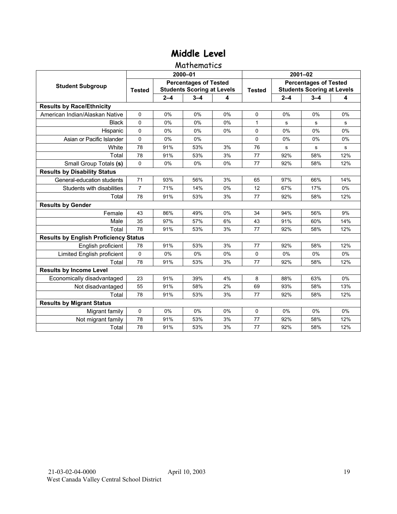### Mathematics

|                                              |                |         | 2000-01                                                           |    | $2001 - 02$   |                                                                   |             |           |  |
|----------------------------------------------|----------------|---------|-------------------------------------------------------------------|----|---------------|-------------------------------------------------------------------|-------------|-----------|--|
| <b>Student Subgroup</b>                      | <b>Tested</b>  |         | <b>Percentages of Tested</b><br><b>Students Scoring at Levels</b> |    | <b>Tested</b> | <b>Percentages of Tested</b><br><b>Students Scoring at Levels</b> |             |           |  |
|                                              |                | $2 - 4$ | $3 - 4$                                                           | 4  |               | $2 - 4$                                                           | $3 - 4$     | 4         |  |
| <b>Results by Race/Ethnicity</b>             |                |         |                                                                   |    |               |                                                                   |             |           |  |
| American Indian/Alaskan Native               | $\Omega$       | 0%      | 0%                                                                | 0% | $\Omega$      | 0%                                                                | 0%          | 0%        |  |
| <b>Black</b>                                 | $\Omega$       | 0%      | 0%                                                                | 0% | $\mathbf{1}$  | s                                                                 | s           | s         |  |
| Hispanic                                     | $\Omega$       | 0%      | 0%                                                                | 0% | $\Omega$      | 0%                                                                | 0%          | 0%        |  |
| Asian or Pacific Islander                    | 0              | 0%      | 0%                                                                |    | 0             | 0%                                                                | 0%          | 0%        |  |
| White                                        | 78             | 91%     | 53%                                                               | 3% | 76            | $\mathbf S$                                                       | $\mathbf S$ | ${\bf s}$ |  |
| Total                                        | 78             | 91%     | 53%                                                               | 3% | 77            | 92%                                                               | 58%         | 12%       |  |
| Small Group Totals (s)                       | $\mathbf 0$    | 0%      | 0%                                                                | 0% | 77            | 92%                                                               | 58%         | 12%       |  |
| <b>Results by Disability Status</b>          |                |         |                                                                   |    |               |                                                                   |             |           |  |
| General-education students                   | 71             | 93%     | 56%                                                               | 3% | 65            | 97%                                                               | 66%         | 14%       |  |
| Students with disabilities                   | $\overline{7}$ | 71%     | 14%                                                               | 0% | 12            | 67%                                                               | 17%         | 0%        |  |
| Total                                        | 78             | 91%     | 53%                                                               | 3% | 77            | 92%                                                               | 58%         | 12%       |  |
| <b>Results by Gender</b>                     |                |         |                                                                   |    |               |                                                                   |             |           |  |
| Female                                       | 43             | 86%     | 49%                                                               | 0% | 34            | 94%                                                               | 56%         | 9%        |  |
| Male                                         | 35             | 97%     | 57%                                                               | 6% | 43            | 91%                                                               | 60%         | 14%       |  |
| Total                                        | 78             | 91%     | 53%                                                               | 3% | 77            | 92%                                                               | 58%         | 12%       |  |
| <b>Results by English Proficiency Status</b> |                |         |                                                                   |    |               |                                                                   |             |           |  |
| English proficient                           | 78             | 91%     | 53%                                                               | 3% | 77            | 92%                                                               | 58%         | 12%       |  |
| Limited English proficient                   | 0              | 0%      | 0%                                                                | 0% | 0             | 0%                                                                | 0%          | 0%        |  |
| Total                                        | 78             | 91%     | 53%                                                               | 3% | 77            | 92%                                                               | 58%         | 12%       |  |
| <b>Results by Income Level</b>               |                |         |                                                                   |    |               |                                                                   |             |           |  |
| Economically disadvantaged                   | 23             | 91%     | 39%                                                               | 4% | 8             | 88%                                                               | 63%         | 0%        |  |
| Not disadvantaged                            | 55             | 91%     | 58%                                                               | 2% | 69            | 93%                                                               | 58%         | 13%       |  |
| Total                                        | 78             | 91%     | 53%                                                               | 3% | 77            | 92%                                                               | 58%         | 12%       |  |
| <b>Results by Migrant Status</b>             |                |         |                                                                   |    |               |                                                                   |             |           |  |
| Migrant family                               | 0              | 0%      | 0%                                                                | 0% | 0             | 0%                                                                | 0%          | 0%        |  |
| Not migrant family                           | 78             | 91%     | 53%                                                               | 3% | 77            | 92%                                                               | 58%         | 12%       |  |
| Total                                        | 78             | 91%     | 53%                                                               | 3% | 77            | 92%                                                               | 58%         | 12%       |  |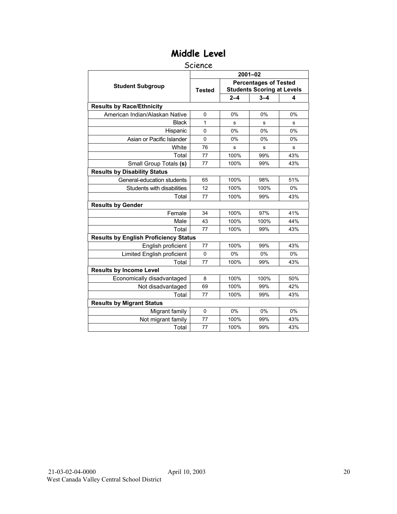#### Science

|                                              |               |         | $2001 - 02$                                                       |     |
|----------------------------------------------|---------------|---------|-------------------------------------------------------------------|-----|
| <b>Student Subgroup</b>                      | <b>Tested</b> |         | <b>Percentages of Tested</b><br><b>Students Scoring at Levels</b> |     |
|                                              |               | $2 - 4$ | $3 - 4$                                                           | 4   |
| <b>Results by Race/Ethnicity</b>             |               |         |                                                                   |     |
| American Indian/Alaskan Native               | $\mathbf 0$   | 0%      | 0%                                                                | 0%  |
| <b>Black</b>                                 | 1             | s       | s                                                                 | s   |
| Hispanic                                     | $\Omega$      | 0%      | 0%                                                                | 0%  |
| Asian or Pacific Islander                    | $\mathbf{0}$  | 0%      | 0%                                                                | 0%  |
| White                                        | 76            | s       | s                                                                 | s   |
| Total                                        | 77            | 100%    | 99%                                                               | 43% |
| Small Group Totals (s)                       | 77            | 100%    | 99%                                                               | 43% |
| <b>Results by Disability Status</b>          |               |         |                                                                   |     |
| General-education students                   | 65            | 100%    | 98%                                                               | 51% |
| Students with disabilities                   | 12            | 100%    | 100%                                                              | 0%  |
| Total                                        | 77            | 100%    | 99%                                                               | 43% |
| <b>Results by Gender</b>                     |               |         |                                                                   |     |
| Female                                       | 34            | 100%    | 97%                                                               | 41% |
| Male                                         | 43            | 100%    | 100%                                                              | 44% |
| Total                                        | 77            | 100%    | 99%                                                               | 43% |
| <b>Results by English Proficiency Status</b> |               |         |                                                                   |     |
| English proficient                           | 77            | 100%    | 99%                                                               | 43% |
| Limited English proficient                   | $\Omega$      | 0%      | 0%                                                                | 0%  |
| Total                                        | 77            | 100%    | 99%                                                               | 43% |
| <b>Results by Income Level</b>               |               |         |                                                                   |     |
| Economically disadvantaged                   | 8             | 100%    | 100%                                                              | 50% |
| Not disadvantaged                            | 69            | 100%    | 99%                                                               | 42% |
| Total                                        | 77            | 100%    | 99%                                                               | 43% |
| <b>Results by Migrant Status</b>             |               |         |                                                                   |     |
| Migrant family                               | $\mathbf 0$   | 0%      | 0%                                                                | 0%  |
| Not migrant family                           | 77            | 100%    | 99%                                                               | 43% |
| Total                                        | 77            | 100%    | 99%                                                               | 43% |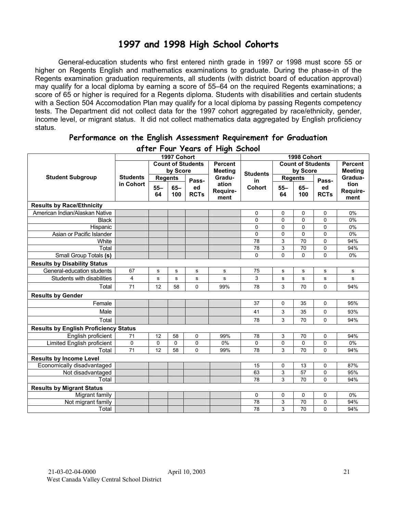## **1997 and 1998 High School Cohorts**

General-education students who first entered ninth grade in 1997 or 1998 must score 55 or higher on Regents English and mathematics examinations to graduate. During the phase-in of the Regents examination graduation requirements, all students (with district board of education approval) may qualify for a local diploma by earning a score of 55–64 on the required Regents examinations; a score of 65 or higher is required for a Regents diploma. Students with disabilities and certain students with a Section 504 Accomodation Plan may qualify for a local diploma by passing Regents competency tests. The Department did not collect data for the 1997 cohort aggregated by race/ethnicity, gender, income level, or migrant status. It did not collect mathematics data aggregated by English proficiency status.

| aller Four years of Filgh School             |                 |                |             |                          |                |                 |          |                          |             |                |  |
|----------------------------------------------|-----------------|----------------|-------------|--------------------------|----------------|-----------------|----------|--------------------------|-------------|----------------|--|
|                                              |                 |                | 1997 Cohort |                          |                |                 |          | 1998 Cohort              |             |                |  |
|                                              |                 |                |             | <b>Count of Students</b> | <b>Percent</b> |                 |          | <b>Count of Students</b> |             | <b>Percent</b> |  |
|                                              |                 |                | by Score    |                          | <b>Meeting</b> | <b>Students</b> | by Score |                          |             | <b>Meeting</b> |  |
| <b>Student Subgroup</b>                      | <b>Students</b> | <b>Regents</b> |             | Pass-                    | Gradu-         | in              |          | <b>Regents</b>           | Pass-       | Gradua-        |  |
|                                              | in Cohort       | $55 -$         | $65 -$      | ed                       | ation          | Cohort          | $55 -$   | $65-$                    | ed          | tion           |  |
|                                              |                 | 64             | 100         | <b>RCTs</b>              | Require-       |                 | 64       | 100                      | <b>RCTs</b> | Require-       |  |
|                                              |                 |                |             |                          | ment           |                 |          |                          |             | ment           |  |
| <b>Results by Race/Ethnicity</b>             |                 |                |             |                          |                |                 |          |                          |             |                |  |
| American Indian/Alaskan Native               |                 |                |             |                          |                | 0               | 0        | 0                        | 0           | 0%             |  |
| <b>Black</b>                                 |                 |                |             |                          |                | 0               | 0        | 0                        | 0           | 0%             |  |
| Hispanic                                     |                 |                |             |                          |                | 0               | 0        | 0                        | 0           | 0%             |  |
| Asian or Pacific Islander                    |                 |                |             |                          |                | 0               | 0        | 0                        | 0           | 0%             |  |
| White                                        |                 |                |             |                          |                | 78              | 3        | 70                       | 0           | 94%            |  |
| Total                                        |                 |                |             |                          |                | 78              | 3        | 70                       | 0           | 94%            |  |
| Small Group Totals (s)                       |                 |                |             |                          |                | 0               | 0        | 0                        | 0           | 0%             |  |
| <b>Results by Disability Status</b>          |                 |                |             |                          |                |                 |          |                          |             |                |  |
| General-education students                   | 67              | S              | S           | $\mathbf s$              | s              | 75              | s        | s                        | s           | s              |  |
| Students with disabilities                   | 4               | s              | s           | ${\bf s}$                | s              | 3               | s        | s                        | ${\bf s}$   | ${\bf s}$      |  |
| Total                                        | 71              | 12             | 58          | $\Omega$                 | 99%            | 78              | 3        | 70                       | $\Omega$    | 94%            |  |
| <b>Results by Gender</b>                     |                 |                |             |                          |                |                 |          |                          |             |                |  |
| Female                                       |                 |                |             |                          |                | 37              | 0        | 35                       | 0           | 95%            |  |
| Male                                         |                 |                |             |                          |                | 41              | 3        | 35                       | 0           | 93%            |  |
| Total                                        |                 |                |             |                          |                | 78              | 3        | 70                       | $\Omega$    | 94%            |  |
| <b>Results by English Proficiency Status</b> |                 |                |             |                          |                |                 |          |                          |             |                |  |
| English proficient                           | 71              | 12             | 58          | $\mathbf 0$              | 99%            | 78              | 3        | 70                       | 0           | 94%            |  |
| Limited English proficient                   | 0               | $\mathbf 0$    | $\mathbf 0$ | $\mathbf 0$              | 0%             | 0               | 0        | 0                        | 0           | 0%             |  |
| Total                                        | 71              | 12             | 58          | $\Omega$                 | 99%            | 78              | 3        | 70                       | $\mathbf 0$ | 94%            |  |
| <b>Results by Income Level</b>               |                 |                |             |                          |                |                 |          |                          |             |                |  |
| Economically disadvantaged                   |                 |                |             |                          |                | 15              | 0        | 13                       | 0           | 87%            |  |
| Not disadvantaged                            |                 |                |             |                          |                | 63              | 3        | 57                       | 0           | 95%            |  |
| Total                                        |                 |                |             |                          |                | 78              | 3        | 70                       | 0           | 94%            |  |
| <b>Results by Migrant Status</b>             |                 |                |             |                          |                |                 |          |                          |             |                |  |
| Migrant family                               |                 |                |             |                          |                | 0               | 0        | 0                        | 0           | 0%             |  |
| Not migrant family                           |                 |                |             |                          |                | 78              | 3        | 70                       | 0           | 94%            |  |
| Total                                        |                 |                |             |                          |                | 78              | 3        | 70                       | $\Omega$    | 94%            |  |

#### **Performance on the English Assessment Requirement for Graduation after Four Years of High School**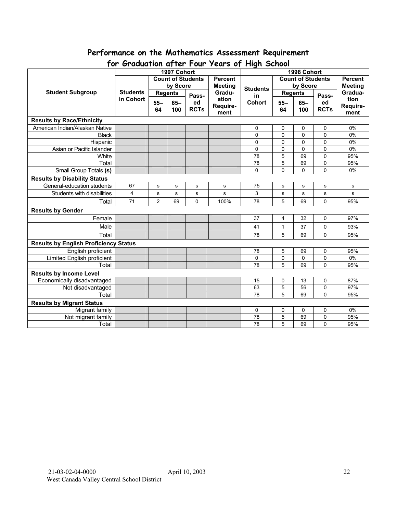# **Performance on the Mathematics Assessment Requirement**

|                                              | יש ו<br>$\sigma$<br>1997 Cohort |                                            |           |             |                          |                                            | 15013011119110011001<br>1998 Cohort |           |                |           |  |
|----------------------------------------------|---------------------------------|--------------------------------------------|-----------|-------------|--------------------------|--------------------------------------------|-------------------------------------|-----------|----------------|-----------|--|
|                                              |                                 | <b>Count of Students</b><br><b>Percent</b> |           |             |                          | <b>Count of Students</b><br><b>Percent</b> |                                     |           |                |           |  |
| <b>Student Subgroup</b>                      | <b>Students</b><br>in Cohort    | by Score                                   |           |             | <b>Meeting</b><br>Gradu- | <b>Students</b>                            | by Score                            |           | <b>Meeting</b> |           |  |
|                                              |                                 | <b>Regents</b>                             |           |             |                          |                                            | <b>Regents</b>                      |           | Gradua-        |           |  |
|                                              |                                 |                                            |           | Pass-       | ation                    | in                                         |                                     |           | Pass-          | tion      |  |
|                                              |                                 | $55 -$                                     | $65-$     | ed          | Require-                 | Cohort                                     | $55 -$                              | $65-$     | ed             | Require-  |  |
|                                              |                                 | 64                                         | 100       | <b>RCTs</b> | ment                     |                                            | 64                                  | 100       | <b>RCTs</b>    | ment      |  |
| <b>Results by Race/Ethnicity</b>             |                                 |                                            |           |             |                          |                                            |                                     |           |                |           |  |
| American Indian/Alaskan Native               |                                 |                                            |           |             |                          | 0                                          | $\Omega$                            | 0         | 0              | 0%        |  |
| <b>Black</b>                                 |                                 |                                            |           |             |                          | $\mathbf 0$                                | $\Omega$                            | 0         | $\overline{0}$ | 0%        |  |
| Hispanic                                     |                                 |                                            |           |             |                          | 0                                          | $\Omega$                            | 0         | $\overline{0}$ | 0%        |  |
| Asian or Pacific Islander                    |                                 |                                            |           |             |                          | 0                                          | $\Omega$                            | 0         | 0              | 0%        |  |
| White                                        |                                 |                                            |           |             |                          | 78                                         | 5                                   | 69        | $\mathbf 0$    | 95%       |  |
| Total                                        |                                 |                                            |           |             |                          | 78                                         | 5                                   | 69        | 0              | 95%       |  |
| <b>Small Group Totals (s)</b>                |                                 |                                            |           |             |                          | $\Omega$                                   | 0                                   | 0         | $\overline{0}$ | 0%        |  |
| <b>Results by Disability Status</b>          |                                 |                                            |           |             |                          |                                            |                                     |           |                |           |  |
| General-education students                   | 67                              | s                                          | ${\bf s}$ | s           | s                        | 75                                         | s                                   | s         | $\mathbf s$    | s         |  |
| Students with disabilities                   | 4                               | s                                          | ${\bf s}$ | s           | s                        | 3                                          | s                                   | ${\bf s}$ | s              | ${\bf s}$ |  |
| Total                                        | 71                              | $\overline{2}$                             | 69        | 0           | 100%                     | 78                                         | 5                                   | 69        | 0              | 95%       |  |
| <b>Results by Gender</b>                     |                                 |                                            |           |             |                          |                                            |                                     |           |                |           |  |
| Female                                       |                                 |                                            |           |             |                          | 37                                         | 4                                   | 32        | 0              | 97%       |  |
| Male                                         |                                 |                                            |           |             |                          | 41                                         | $\mathbf{1}$                        | 37        | 0              | 93%       |  |
| Total                                        |                                 |                                            |           |             |                          | 78                                         | 5                                   | 69        | 0              | 95%       |  |
| <b>Results by English Proficiency Status</b> |                                 |                                            |           |             |                          |                                            |                                     |           |                |           |  |
| English proficient                           |                                 |                                            |           |             |                          | 78                                         | 5                                   | 69        | 0              | 95%       |  |
| <b>Limited English proficient</b>            |                                 |                                            |           |             |                          | $\Omega$                                   | 0                                   | 0         | 0              | 0%        |  |
| Total                                        |                                 |                                            |           |             |                          | 78                                         | 5                                   | 69        | $\mathbf 0$    | 95%       |  |
| <b>Results by Income Level</b>               |                                 |                                            |           |             |                          |                                            |                                     |           |                |           |  |
| Economically disadvantaged                   |                                 |                                            |           |             |                          | 15                                         | $\mathbf 0$                         | 13        | 0              | 87%       |  |
| Not disadvantaged                            |                                 |                                            |           |             |                          | 63                                         | 5                                   | 56        | 0              | 97%       |  |
| Total                                        |                                 |                                            |           |             |                          | 78                                         | 5                                   | 69        | $\Omega$       | 95%       |  |
| <b>Results by Migrant Status</b>             |                                 |                                            |           |             |                          |                                            |                                     |           |                |           |  |
| Migrant family                               |                                 |                                            |           |             |                          | 0                                          | 0                                   | 0         | 0              | 0%        |  |
| Not migrant family                           |                                 |                                            |           |             |                          | 78                                         | 5                                   | 69        | 0              | 95%       |  |
| Total                                        |                                 |                                            |           |             |                          | 78                                         | 5                                   | 69        | 0              | 95%       |  |

## **for Graduation after Four Years of High School**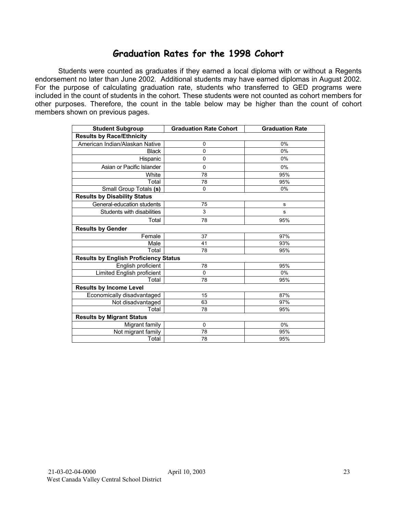## **Graduation Rates for the 1998 Cohort**

Students were counted as graduates if they earned a local diploma with or without a Regents endorsement no later than June 2002. Additional students may have earned diplomas in August 2002. For the purpose of calculating graduation rate, students who transferred to GED programs were included in the count of students in the cohort. These students were not counted as cohort members for other purposes. Therefore, the count in the table below may be higher than the count of cohort members shown on previous pages.

| <b>Student Subgroup</b>                      | <b>Graduation Rate Cohort</b> | <b>Graduation Rate</b> |  |  |  |  |  |
|----------------------------------------------|-------------------------------|------------------------|--|--|--|--|--|
| <b>Results by Race/Ethnicity</b>             |                               |                        |  |  |  |  |  |
| American Indian/Alaskan Native               | 0                             | 0%                     |  |  |  |  |  |
| <b>Black</b>                                 | 0                             | 0%                     |  |  |  |  |  |
| Hispanic                                     | 0                             | 0%                     |  |  |  |  |  |
| Asian or Pacific Islander                    | $\mathbf 0$                   | 0%                     |  |  |  |  |  |
| White                                        | 78                            | 95%                    |  |  |  |  |  |
| Total                                        | 78                            | 95%                    |  |  |  |  |  |
| Small Group Totals (s)                       | $\mathbf 0$                   | 0%                     |  |  |  |  |  |
| <b>Results by Disability Status</b>          |                               |                        |  |  |  |  |  |
| General-education students                   | 75                            | s                      |  |  |  |  |  |
| Students with disabilities                   | 3                             | s                      |  |  |  |  |  |
| Total                                        | 78                            | 95%                    |  |  |  |  |  |
| <b>Results by Gender</b>                     |                               |                        |  |  |  |  |  |
| Female                                       | 37                            | 97%                    |  |  |  |  |  |
| Male                                         | 41                            | 93%                    |  |  |  |  |  |
| Total                                        | 78                            | 95%                    |  |  |  |  |  |
| <b>Results by English Proficiency Status</b> |                               |                        |  |  |  |  |  |
| English proficient                           | 78                            | 95%                    |  |  |  |  |  |
| Limited English proficient                   | $\Omega$                      | 0%                     |  |  |  |  |  |
| Total                                        | 78                            | 95%                    |  |  |  |  |  |
| <b>Results by Income Level</b>               |                               |                        |  |  |  |  |  |
| Economically disadvantaged                   | 15                            | 87%                    |  |  |  |  |  |
| Not disadvantaged                            | 63                            | 97%                    |  |  |  |  |  |
| Total                                        | 78                            | 95%                    |  |  |  |  |  |
| <b>Results by Migrant Status</b>             |                               |                        |  |  |  |  |  |
| Migrant family                               | $\mathbf 0$                   | 0%                     |  |  |  |  |  |
| Not migrant family                           | 78                            | 95%                    |  |  |  |  |  |
| Total                                        | 78                            | 95%                    |  |  |  |  |  |